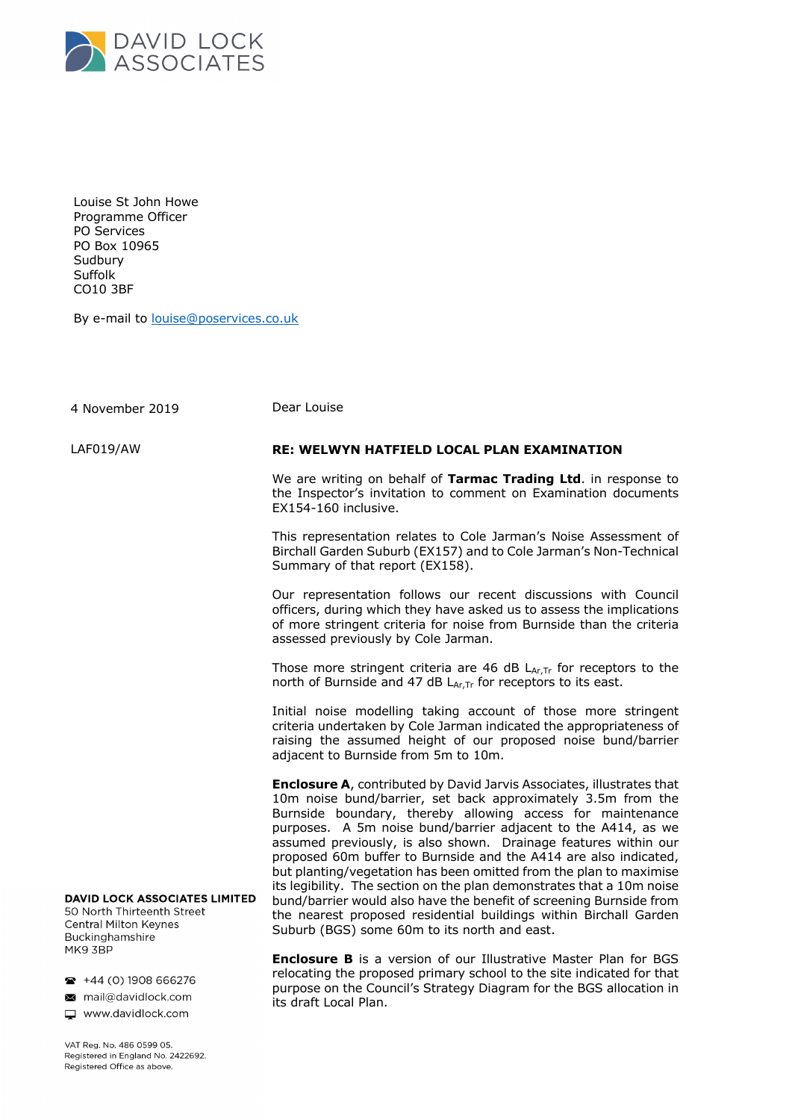

Louise St John Howe Programme Officer PO Services PO Box 10965 Sudbury Suffolk CO10 3BF

By e-mail to louise@poservices.co.uk

| 4 November 2019                                                                                                                                                                                                     | Dear Louise                                                                                                                                                                                                                                                                                                                                                                                                                                                                                                                                                                                                                                                                                                                                                    |
|---------------------------------------------------------------------------------------------------------------------------------------------------------------------------------------------------------------------|----------------------------------------------------------------------------------------------------------------------------------------------------------------------------------------------------------------------------------------------------------------------------------------------------------------------------------------------------------------------------------------------------------------------------------------------------------------------------------------------------------------------------------------------------------------------------------------------------------------------------------------------------------------------------------------------------------------------------------------------------------------|
| LAF019/AW                                                                                                                                                                                                           | <b>RE: WELWYN HATFIELD LOCAL PLAN EXAMINATION</b>                                                                                                                                                                                                                                                                                                                                                                                                                                                                                                                                                                                                                                                                                                              |
|                                                                                                                                                                                                                     | We are writing on behalf of Tarmac Trading Ltd. in response to<br>the Inspector's invitation to comment on Examination documents<br>EX154-160 inclusive.                                                                                                                                                                                                                                                                                                                                                                                                                                                                                                                                                                                                       |
|                                                                                                                                                                                                                     | This representation relates to Cole Jarman's Noise Assessment of<br>Birchall Garden Suburb (EX157) and to Cole Jarman's Non-Technical<br>Summary of that report (EX158).                                                                                                                                                                                                                                                                                                                                                                                                                                                                                                                                                                                       |
|                                                                                                                                                                                                                     | Our representation follows our recent discussions with Council<br>officers, during which they have asked us to assess the implications<br>of more stringent criteria for noise from Burnside than the criteria<br>assessed previously by Cole Jarman.                                                                                                                                                                                                                                                                                                                                                                                                                                                                                                          |
|                                                                                                                                                                                                                     | Those more stringent criteria are 46 dB $L_{Ar,Tr}$ for receptors to the<br>north of Burnside and 47 dB LAr, Tr for receptors to its east.                                                                                                                                                                                                                                                                                                                                                                                                                                                                                                                                                                                                                     |
|                                                                                                                                                                                                                     | Initial noise modelling taking account of those more stringent<br>criteria undertaken by Cole Jarman indicated the appropriateness of<br>raising the assumed height of our proposed noise bund/barrier<br>adjacent to Burnside from 5m to 10m.                                                                                                                                                                                                                                                                                                                                                                                                                                                                                                                 |
| <b>DAVID LOCK ASSOCIATES LIMITED</b><br>50 North Thirteenth Street<br><b>Central Milton Keynes</b><br>Buckinghamshire<br>MK9 3BP<br>$\bullet$ +44 (0) 1908 666276<br>mail@davidlock.com<br>$\Box$ www.davidlock.com | <b>Enclosure A</b> , contributed by David Jarvis Associates, illustrates that<br>10m noise bund/barrier, set back approximately 3.5m from the<br>Burnside boundary, thereby allowing access for maintenance<br>purposes. A 5m noise bund/barrier adjacent to the A414, as we<br>assumed previously, is also shown. Drainage features within our<br>proposed 60m buffer to Burnside and the A414 are also indicated,<br>but planting/vegetation has been omitted from the plan to maximise<br>its legibility. The section on the plan demonstrates that a 10m noise<br>bund/barrier would also have the benefit of screening Burnside from<br>the nearest proposed residential buildings within Birchall Garden<br>Suburb (BGS) some 60m to its north and east. |
|                                                                                                                                                                                                                     | <b>Enclosure B</b> is a version of our Illustrative Master Plan for BGS<br>relocating the proposed primary school to the site indicated for that<br>purpose on the Council's Strategy Diagram for the BGS allocation in<br>its draft Local Plan.                                                                                                                                                                                                                                                                                                                                                                                                                                                                                                               |

VAT Reg. No. 486 0599 05. Registered in England No. 2422692. Registered Office as above.